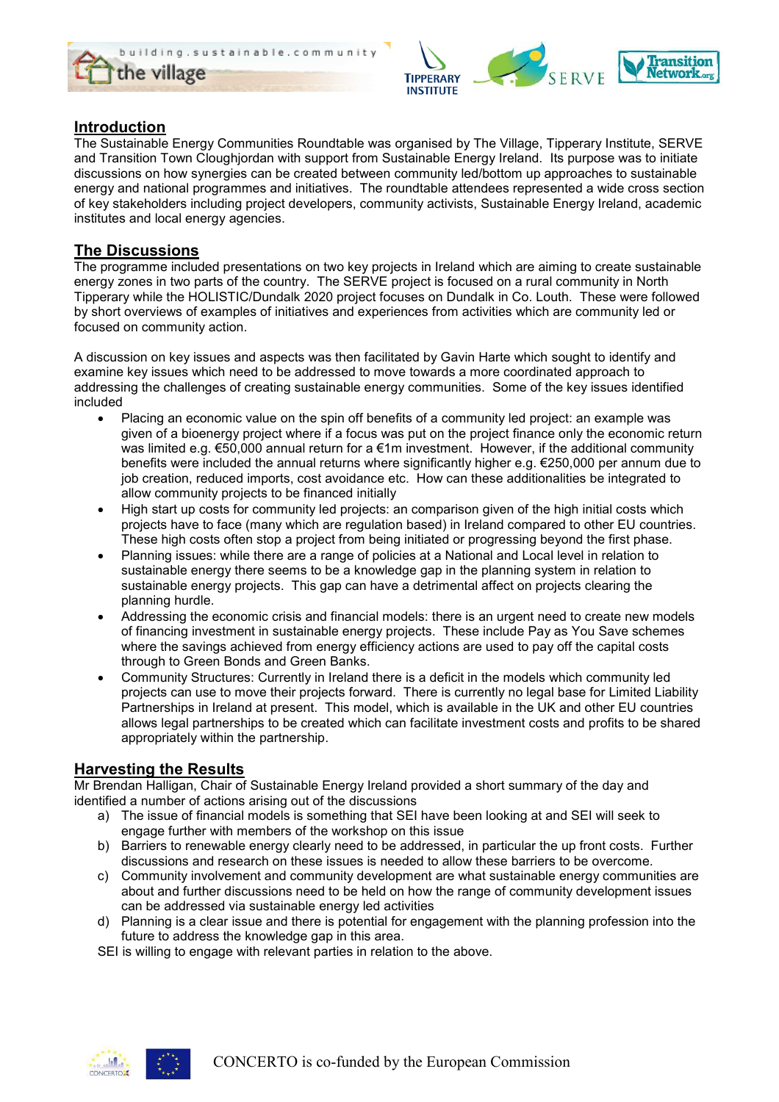



## Introduction

The Sustainable Energy Communities Roundtable was organised by The Village, Tipperary Institute, SERVE and Transition Town Cloughjordan with support from Sustainable Energy Ireland. Its purpose was to initiate discussions on how synergies can be created between community led/bottom up approaches to sustainable energy and national programmes and initiatives. The roundtable attendees represented a wide cross section of key stakeholders including project developers, community activists, Sustainable Energy Ireland, academic institutes and local energy agencies.

## The Discussions

The programme included presentations on two key projects in Ireland which are aiming to create sustainable energy zones in two parts of the country. The SERVE project is focused on a rural community in North Tipperary while the HOLISTIC/Dundalk 2020 project focuses on Dundalk in Co. Louth. These were followed by short overviews of examples of initiatives and experiences from activities which are community led or focused on community action.

A discussion on key issues and aspects was then facilitated by Gavin Harte which sought to identify and examine key issues which need to be addressed to move towards a more coordinated approach to addressing the challenges of creating sustainable energy communities. Some of the key issues identified included

- Placing an economic value on the spin off benefits of a community led project: an example was given of a bioenergy project where if a focus was put on the project finance only the economic return was limited e.g. €50,000 annual return for a €1m investment. However, if the additional community benefits were included the annual returns where significantly higher e.g. €250,000 per annum due to job creation, reduced imports, cost avoidance etc. How can these additionalities be integrated to allow community projects to be financed initially
- High start up costs for community led projects: an comparison given of the high initial costs which projects have to face (many which are regulation based) in Ireland compared to other EU countries. These high costs often stop a project from being initiated or progressing beyond the first phase.
- Planning issues: while there are a range of policies at a National and Local level in relation to sustainable energy there seems to be a knowledge gap in the planning system in relation to sustainable energy projects. This gap can have a detrimental affect on projects clearing the planning hurdle.
- Addressing the economic crisis and financial models: there is an urgent need to create new models of financing investment in sustainable energy projects. These include Pay as You Save schemes where the savings achieved from energy efficiency actions are used to pay off the capital costs through to Green Bonds and Green Banks.
- Community Structures: Currently in Ireland there is a deficit in the models which community led projects can use to move their projects forward. There is currently no legal base for Limited Liability Partnerships in Ireland at present. This model, which is available in the UK and other EU countries allows legal partnerships to be created which can facilitate investment costs and profits to be shared appropriately within the partnership.

## Harvesting the Results

Mr Brendan Halligan, Chair of Sustainable Energy Ireland provided a short summary of the day and identified a number of actions arising out of the discussions

- a) The issue of financial models is something that SEI have been looking at and SEI will seek to engage further with members of the workshop on this issue
- b) Barriers to renewable energy clearly need to be addressed, in particular the up front costs. Further discussions and research on these issues is needed to allow these barriers to be overcome.
- c) Community involvement and community development are what sustainable energy communities are about and further discussions need to be held on how the range of community development issues can be addressed via sustainable energy led activities
- d) Planning is a clear issue and there is potential for engagement with the planning profession into the future to address the knowledge gap in this area.
- SEI is willing to engage with relevant parties in relation to the above.